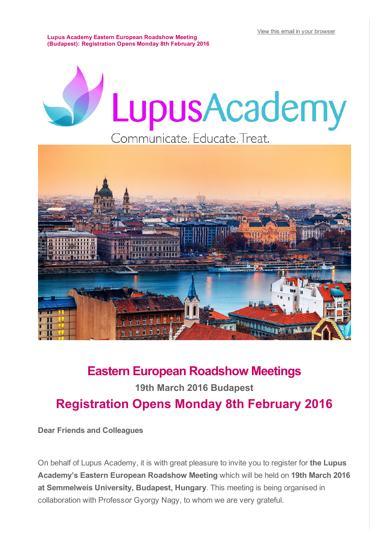View this email in your [browser](file://mac/Google%20Drive/Lupus%20Academy/2016/Eastern%20Europe%20Meetings/Budapest/Communications/*%7CARCHIVE%7C*)

Lupus Academy Eastern European Roadshow Meeting (Budapest): Registration Opens Monday 8th February 2016

# LupusAcademy Communicate. Educate. Treat.



## Eastern European Roadshow Meetings 19th March 2016 Budapest

## Registration Opens Monday 8th February 2016

Dear Friends and Colleagues

On behalf of Lupus Academy, it is with great pleasure to invite you to register for the Lupus Academy's Eastern European Roadshow Meeting which will be held on 19th March 2016 at Semmelweis University, Budapest, Hungary. This meeting is being organised in collaboration with Professor Gyorgy Nagy, to whom we are very grateful.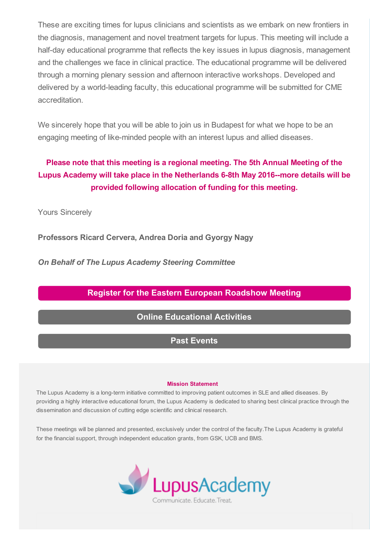These are exciting times for lupus clinicians and scientists as we embark on new frontiers in the diagnosis, management and novel treatment targets for lupus. This meeting will include a half-day educational programme that reflects the key issues in lupus diagnosis, management and the challenges we face in clinical practice. The educational programme will be delivered through a morning plenary session and afternoon interactive workshops. Developed and delivered by a world-leading faculty, this educational programme will be submitted for CME accreditation.

We sincerely hope that you will be able to join us in Budapest for what we hope to be an engaging meeting of like-minded people with an interest lupus and allied diseases.

### Please note that this meeting is a regional meeting. The 5th Annual Meeting of the Lupus Academy will take place in the Netherlands 6-8th May 2016--more details will be provided following allocation of funding for this meeting.

Yours Sincerely

Professors Ricard Cervera, Andrea Doria and Gyorgy Nagy

*On Behalf of The Lupus Academy Steering Committee*

#### Register for the Eastern European [Roadshow](http://lupus-academy.org/regional-meetings/meeting-information/) Meeting

#### Online [Educational](http://lupus-academy.org/other-educational-activities/) Activities

#### Past [Events](http://lupus-academy.org/past-events/annual-meetings/)

#### Mission Statement

The Lupus Academy is a long-term initiative committed to improving patient outcomes in SLE and allied diseases. By providing a highly interactive educational forum, the Lupus Academy is dedicated to sharing best clinical practice through the dissemination and discussion of cutting edge scientific and clinical research.

These meetings will be planned and presented, exclusively under the control of the faculty.The Lupus Academy is grateful for the financial support, through independent education grants, from GSK, UCB and BMS.